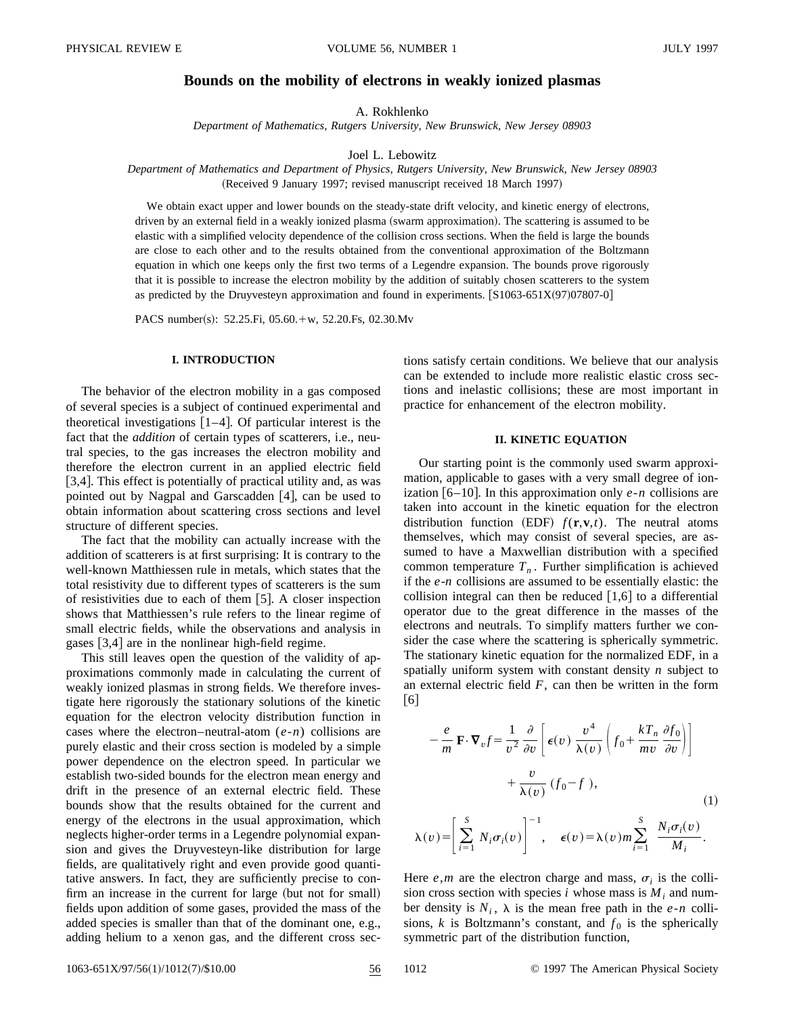# **Bounds on the mobility of electrons in weakly ionized plasmas**

A. Rokhlenko

*Department of Mathematics, Rutgers University, New Brunswick, New Jersey 08903*

Joel L. Lebowitz

*Department of Mathematics and Department of Physics, Rutgers University, New Brunswick, New Jersey 08903* (Received 9 January 1997; revised manuscript received 18 March 1997)

We obtain exact upper and lower bounds on the steady-state drift velocity, and kinetic energy of electrons, driven by an external field in a weakly ionized plasma (swarm approximation). The scattering is assumed to be elastic with a simplified velocity dependence of the collision cross sections. When the field is large the bounds are close to each other and to the results obtained from the conventional approximation of the Boltzmann equation in which one keeps only the first two terms of a Legendre expansion. The bounds prove rigorously that it is possible to increase the electron mobility by the addition of suitably chosen scatterers to the system as predicted by the Druyvesteyn approximation and found in experiments.  $[S1063-651X(97)07807-0]$ 

PACS number(s):  $52.25.Fi$ ,  $05.60.+w$ ,  $52.20.Fs$ ,  $02.30.Mv$ 

# **I. INTRODUCTION**

The behavior of the electron mobility in a gas composed of several species is a subject of continued experimental and theoretical investigations  $[1-4]$ . Of particular interest is the fact that the *addition* of certain types of scatterers, i.e., neutral species, to the gas increases the electron mobility and therefore the electron current in an applied electric field  $[3,4]$ . This effect is potentially of practical utility and, as was pointed out by Nagpal and Garscadden  $|4|$ , can be used to obtain information about scattering cross sections and level structure of different species.

The fact that the mobility can actually increase with the addition of scatterers is at first surprising: It is contrary to the well-known Matthiessen rule in metals, which states that the total resistivity due to different types of scatterers is the sum of resistivities due to each of them  $[5]$ . A closer inspection shows that Matthiessen's rule refers to the linear regime of small electric fields, while the observations and analysis in gases  $[3,4]$  are in the nonlinear high-field regime.

This still leaves open the question of the validity of approximations commonly made in calculating the current of weakly ionized plasmas in strong fields. We therefore investigate here rigorously the stationary solutions of the kinetic equation for the electron velocity distribution function in cases where the electron–neutral-atom (*e*-*n*) collisions are purely elastic and their cross section is modeled by a simple power dependence on the electron speed. In particular we establish two-sided bounds for the electron mean energy and drift in the presence of an external electric field. These bounds show that the results obtained for the current and energy of the electrons in the usual approximation, which neglects higher-order terms in a Legendre polynomial expansion and gives the Druyvesteyn-like distribution for large fields, are qualitatively right and even provide good quantitative answers. In fact, they are sufficiently precise to confirm an increase in the current for large (but not for small) fields upon addition of some gases, provided the mass of the added species is smaller than that of the dominant one, e.g., adding helium to a xenon gas, and the different cross sections satisfy certain conditions. We believe that our analysis can be extended to include more realistic elastic cross sections and inelastic collisions; these are most important in practice for enhancement of the electron mobility.

#### **II. KINETIC EQUATION**

Our starting point is the commonly used swarm approximation, applicable to gases with a very small degree of ionization  $[6–10]$ . In this approximation only  $e$ -*n* collisions are taken into account in the kinetic equation for the electron distribution function (EDF)  $f(\mathbf{r}, \mathbf{v}, t)$ . The neutral atoms themselves, which may consist of several species, are assumed to have a Maxwellian distribution with a specified common temperature  $T_n$ . Further simplification is achieved if the *e*-*n* collisions are assumed to be essentially elastic: the collision integral can then be reduced  $[1,6]$  to a differential operator due to the great difference in the masses of the electrons and neutrals. To simplify matters further we consider the case where the scattering is spherically symmetric. The stationary kinetic equation for the normalized EDF, in a spatially uniform system with constant density *n* subject to an external electric field *F*, can then be written in the form  $|6|$ 

$$
-\frac{e}{m} \mathbf{F} \cdot \nabla_v f = \frac{1}{v^2} \frac{\partial}{\partial v} \left[ \epsilon(v) \frac{v^4}{\lambda(v)} \left( f_0 + \frac{kT_n}{mv} \frac{\partial f_0}{\partial v} \right) \right] + \frac{v}{\lambda(v)} \left( f_0 - f \right),
$$
\n(1)

$$
\lambda(v) = \left[\sum_{i=1}^{S} N_i \sigma_i(v)\right]^{-1}, \quad \epsilon(v) = \lambda(v) m \sum_{i=1}^{S} \frac{N_i \sigma_i(v)}{M_i}.
$$

Here *e*,*m* are the electron charge and mass,  $\sigma_i$  is the collision cross section with species  $i$  whose mass is  $M_i$  and number density is  $N_i$ ,  $\lambda$  is the mean free path in the *e-n* collisions, *k* is Boltzmann's constant, and  $f_0$  is the spherically symmetric part of the distribution function,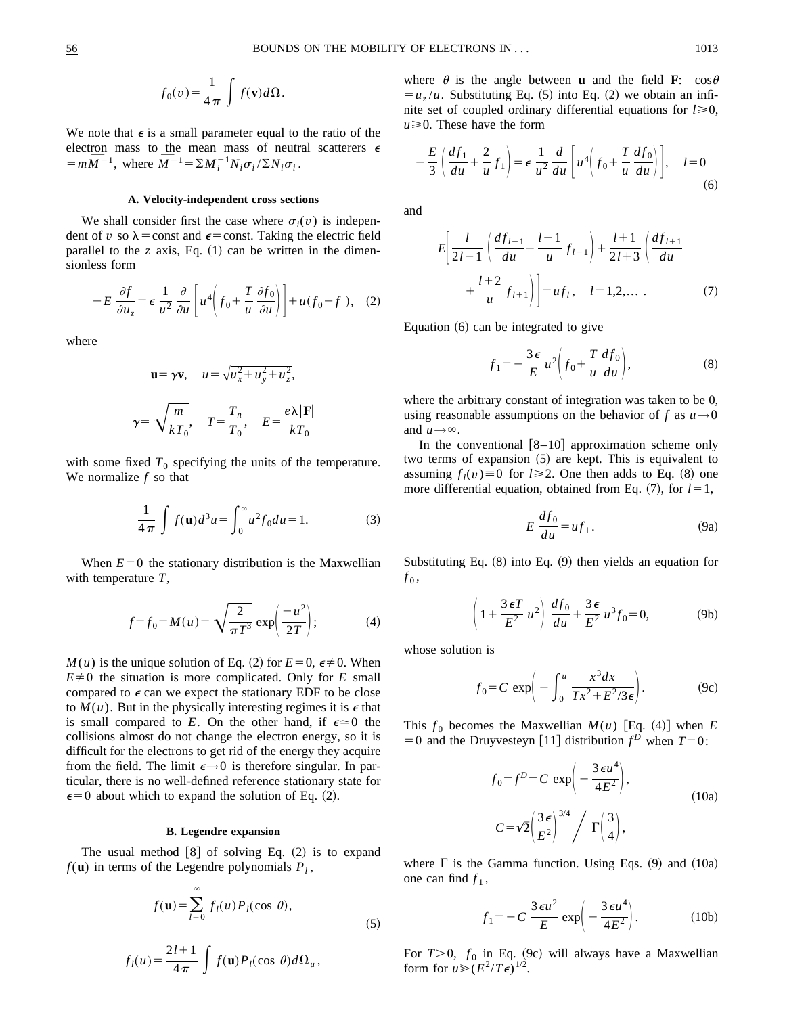$$
f_0(v) = \frac{1}{4\pi} \int f(\mathbf{v}) d\Omega.
$$

We note that  $\epsilon$  is a small parameter equal to the ratio of the electron mass to the mean mass of neutral scatterers  $\epsilon$ electron mass to the mean mass of neutr<br>  $=m\overline{M}^{-1}$ , where  $\overline{M}^{-1} = \sum M_i^{-1}N_i\sigma_i/\sum N_i\sigma_i$ .

#### **A. Velocity-independent cross sections**

We shall consider first the case where  $\sigma_i(v)$  is independent of *v* so  $\lambda$  = const and  $\epsilon$  = const. Taking the electric field parallel to the  $\zeta$  axis, Eq.  $(1)$  can be written in the dimensionless form

$$
-E\frac{\partial f}{\partial u_z} = \epsilon \frac{1}{u^2} \frac{\partial}{\partial u} \left[ u^4 \left( f_0 + \frac{T}{u} \frac{\partial f_0}{\partial u} \right) \right] + u(f_0 - f), \quad (2)
$$

where

$$
\mathbf{u} = \gamma \mathbf{v}, \quad u = \sqrt{u_x^2 + u_y^2 + u_z^2},
$$

$$
\gamma = \sqrt{\frac{m}{kT_0}}, \quad T = \frac{T_n}{T_0}, \quad E = \frac{e\lambda|\mathbf{F}|}{kT_0}
$$

with some fixed  $T_0$  specifying the units of the temperature. We normalize *f* so that

$$
\frac{1}{4\pi} \int f(\mathbf{u}) d^3 u = \int_0^\infty u^2 f_0 du = 1.
$$
 (3)

When  $E=0$  the stationary distribution is the Maxwellian with temperature *T*,

$$
f=f_0 = M(u) = \sqrt{\frac{2}{\pi T^3}} \exp\left(\frac{-u^2}{2T}\right);
$$
 (4)

 $M(u)$  is the unique solution of Eq. (2) for  $E=0$ ,  $\epsilon \neq 0$ . When  $E \neq 0$  the situation is more complicated. Only for *E* small compared to  $\epsilon$  can we expect the stationary EDF to be close to  $M(u)$ . But in the physically interesting regimes it is  $\epsilon$  that is small compared to *E*. On the other hand, if  $\epsilon \approx 0$  the collisions almost do not change the electron energy, so it is difficult for the electrons to get rid of the energy they acquire from the field. The limit  $\epsilon \rightarrow 0$  is therefore singular. In particular, there is no well-defined reference stationary state for  $\epsilon$ =0 about which to expand the solution of Eq. (2).

#### **B. Legendre expansion**

The usual method  $[8]$  of solving Eq.  $(2)$  is to expand  $f(\mathbf{u})$  in terms of the Legendre polynomials  $P_l$ ,

$$
f(\mathbf{u}) = \sum_{l=0}^{\infty} f_l(u) P_l(\cos \theta),
$$
\n(5)

$$
f_l(u) = \frac{2l+1}{4\pi} \int f(\mathbf{u}) P_l(\cos \theta) d\Omega_u,
$$

where  $\theta$  is the angle between **u** and the field **F**:  $\cos \theta$  $= u_z/u$ . Substituting Eq. (5) into Eq. (2) we obtain an infinite set of coupled ordinary differential equations for  $l \ge 0$ ,  $u \ge 0$ . These have the form

$$
-\frac{E}{3}\left(\frac{df_1}{du} + \frac{2}{u}f_1\right) = \epsilon \frac{1}{u^2}\frac{d}{du}\left[u^4\left(f_0 + \frac{T}{u}\frac{df_0}{du}\right)\right], \quad l=0
$$
\n(6)

and

$$
E\left[\frac{l}{2l-1}\left(\frac{df_{l-1}}{du} - \frac{l-1}{u}f_{l-1}\right) + \frac{l+1}{2l+3}\left(\frac{df_{l+1}}{du} + \frac{l+2}{u}f_{l+1}\right)\right] = uf_l, \quad l = 1, 2, ... \tag{7}
$$

Equation  $(6)$  can be integrated to give

$$
f_1 = -\frac{3\,\epsilon}{E} \, u^2 \bigg( f_0 + \frac{T}{u} \, \frac{df_0}{du} \bigg),\tag{8}
$$

where the arbitrary constant of integration was taken to be 0, using reasonable assumptions on the behavior of *f* as  $u \rightarrow 0$ and  $u \rightarrow \infty$ .

In the conventional  $[8-10]$  approximation scheme only two terms of expansion  $(5)$  are kept. This is equivalent to assuming  $f_l(v) \equiv 0$  for  $l \ge 2$ . One then adds to Eq. (8) one more differential equation, obtained from Eq.  $(7)$ , for  $l=1$ ,

$$
E\,\frac{df_0}{du} = uf_1.\tag{9a}
$$

Substituting Eq.  $(8)$  into Eq.  $(9)$  then yields an equation for  $f_0$ ,

$$
\left(1 + \frac{3\epsilon T}{E^2}u^2\right)\frac{df_0}{du} + \frac{3\epsilon}{E^2}u^3f_0 = 0,
$$
 (9b)

whose solution is

$$
f_0 = C \exp\left(-\int_0^u \frac{x^3 dx}{Tx^2 + E^2/3\epsilon}\right).
$$
 (9c)

This  $f_0$  becomes the Maxwellian  $M(u)$  [Eq. (4)] when E =0 and the Druyvesteyn [11] distribution  $f^D$  when  $T=0$ :

$$
f_0 = f^D = C \exp\left(-\frac{3\epsilon u^4}{4E^2}\right),
$$
  
\n
$$
C = \sqrt{2} \left(\frac{3\epsilon}{E^2}\right)^{3/4} / \Gamma\left(\frac{3}{4}\right),
$$
\n(10a)

where  $\Gamma$  is the Gamma function. Using Eqs. (9) and (10a) one can find  $f_1$ ,

$$
f_1 = -C \frac{3\epsilon u^2}{E} \exp\left(-\frac{3\epsilon u^4}{4E^2}\right).
$$
 (10b)

For  $T>0$ ,  $f_0$  in Eq. (9c) will always have a Maxwellian form for  $u \ge (E^2/T\epsilon)^{1/2}$ .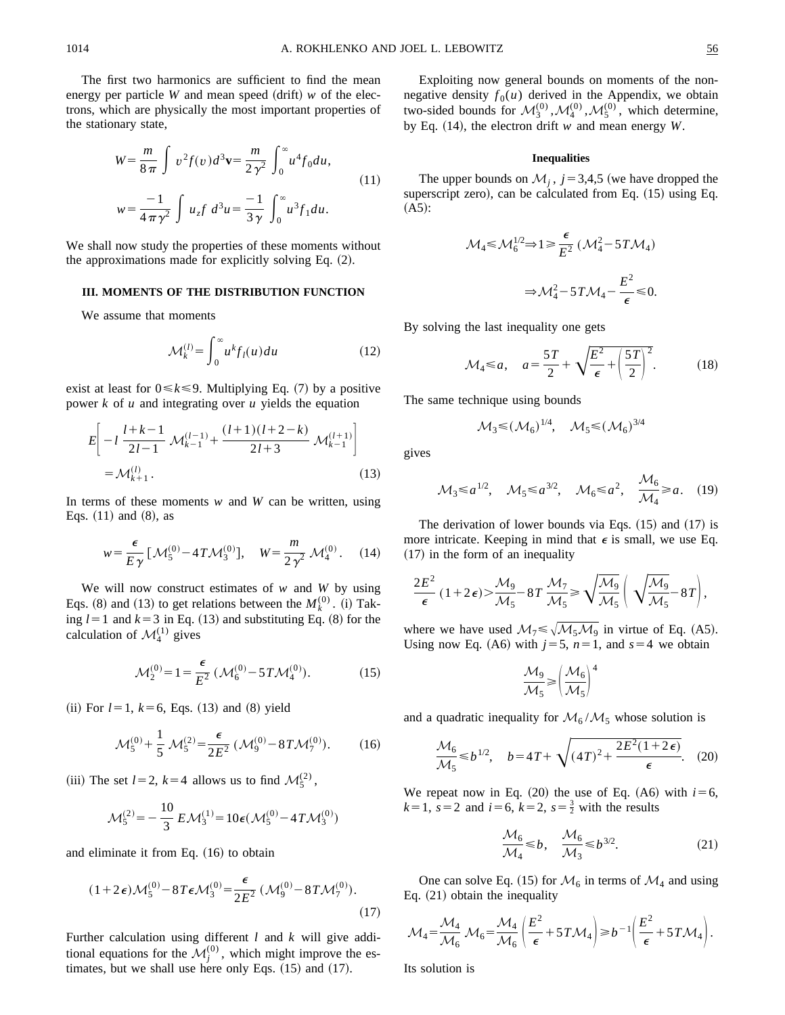The first two harmonics are sufficient to find the mean energy per particle *W* and mean speed  $(\text{drift})$  *w* of the electrons, which are physically the most important properties of the stationary state,

$$
W = \frac{m}{8\pi} \int v^2 f(v) d^3 \mathbf{v} = \frac{m}{2\gamma^2} \int_0^\infty u^4 f_0 du,
$$
  
\n
$$
w = \frac{-1}{4\pi\gamma^2} \int u_z f \ d^3 u = \frac{-1}{3\gamma} \int_0^\infty u^3 f_1 du.
$$
\n(11)

We shall now study the properties of these moments without the approximations made for explicitly solving Eq.  $(2)$ .

### **III. MOMENTS OF THE DISTRIBUTION FUNCTION**

We assume that moments

$$
\mathcal{M}_k^{(l)} = \int_0^\infty u^k f_l(u) du \tag{12}
$$

exist at least for  $0 \le k \le 9$ . Multiplying Eq. (7) by a positive power *k* of *u* and integrating over *u* yields the equation

$$
E\left[-l\frac{l+k-1}{2l-1}\mathcal{M}_{k-1}^{(l-1)}+\frac{(l+1)(l+2-k)}{2l+3}\mathcal{M}_{k-1}^{(l+1)}\right]
$$
  
=  $\mathcal{M}_{k+1}^{(l)}$ . (13)

In terms of these moments *w* and *W* can be written, using Eqs.  $(11)$  and  $(8)$ , as

$$
w = \frac{\epsilon}{E\,\gamma} \left[ \mathcal{M}_5^{(0)} - 4 \, T \, \mathcal{M}_3^{(0)} \right], \quad W = \frac{m}{2 \, \gamma^2} \, \mathcal{M}_4^{(0)} \,. \tag{14}
$$

We will now construct estimates of *w* and *W* by using Eqs. (8) and (13) to get relations between the  $M_k^{(0)}$ . (i) Taking  $l=1$  and  $k=3$  in Eq. (13) and substituting Eq. (8) for the calculation of  $\mathcal{M}_4^{(1)}$  gives

$$
\mathcal{M}_2^{(0)} = 1 = \frac{\epsilon}{E^2} \left( \mathcal{M}_6^{(0)} - 5T \mathcal{M}_4^{(0)} \right). \tag{15}
$$

 $(iii)$  For  $l=1$ ,  $k=6$ , Eqs. (13) and (8) yield

$$
\mathcal{M}_5^{(0)} + \frac{1}{5} \mathcal{M}_5^{(2)} = \frac{\epsilon}{2E^2} \left( \mathcal{M}_9^{(0)} - 8T \mathcal{M}_7^{(0)} \right). \tag{16}
$$

(iii) The set  $l=2$ ,  $k=4$  allows us to find  $\mathcal{M}_5^{(2)}$ ,

$$
\mathcal{M}_5^{(2)} = -\frac{10}{3} E \mathcal{M}_3^{(1)} = 10 \epsilon (\mathcal{M}_5^{(0)} - 4T \mathcal{M}_3^{(0)})
$$

and eliminate it from Eq.  $(16)$  to obtain

$$
(1+2\epsilon)\mathcal{M}_5^{(0)} - 8T\epsilon \mathcal{M}_3^{(0)} = \frac{\epsilon}{2E^2} \left(\mathcal{M}_9^{(0)} - 8T\mathcal{M}_7^{(0)}\right).
$$
\n(17)

Further calculation using different *l* and *k* will give additional equations for the  $\mathcal{M}_j^{(0)}$ , which might improve the estimates, but we shall use here only Eqs.  $(15)$  and  $(17)$ .

Exploiting now general bounds on moments of the nonnegative density  $f_0(u)$  derived in the Appendix, we obtain two-sided bounds for  $\mathcal{M}_3^{(0)}$ ,  $\mathcal{M}_4^{(0)}$ ,  $\mathcal{M}_5^{(0)}$ , which determine, by Eq.  $(14)$ , the electron drift *w* and mean energy *W*.

### **Inequalities**

The upper bounds on  $\mathcal{M}_i$ ,  $j=3,4,5$  (we have dropped the superscript zero), can be calculated from Eq.  $(15)$  using Eq.  $(A5):$ 

$$
\mathcal{M}_4 \le \mathcal{M}_6^{1/2} \Rightarrow 1 \ge \frac{\epsilon}{E^2} \left( \mathcal{M}_4^2 - 5T \mathcal{M}_4 \right)
$$

$$
\Rightarrow \mathcal{M}_4^2 - 5T \mathcal{M}_4 - \frac{E^2}{\epsilon} \le 0.
$$

By solving the last inequality one gets

$$
\mathcal{M}_4 \leq a, \quad a = \frac{5T}{2} + \sqrt{\frac{E^2}{\epsilon} + \left(\frac{5T}{2}\right)^2}.
$$
 (18)

The same technique using bounds

$$
\mathcal{M}_3 \leq (\mathcal{M}_6)^{1/4}, \quad \mathcal{M}_5 \leq (\mathcal{M}_6)^{3/4}
$$

gives

$$
\mathcal{M}_3 \le a^{1/2}, \quad \mathcal{M}_5 \le a^{3/2}, \quad \mathcal{M}_6 \le a^2, \quad \frac{\mathcal{M}_6}{\mathcal{M}_4} \ge a. \quad (19)
$$

The derivation of lower bounds via Eqs.  $(15)$  and  $(17)$  is more intricate. Keeping in mind that  $\epsilon$  is small, we use Eq.  $(17)$  in the form of an inequality

$$
\frac{2E^2}{\epsilon} (1+2\epsilon) > \frac{\mathcal{M}_9}{\mathcal{M}_5} - 8T \frac{\mathcal{M}_7}{\mathcal{M}_5} \ge \sqrt{\frac{\mathcal{M}_9}{\mathcal{M}_5}} \left( \sqrt{\frac{\mathcal{M}_9}{\mathcal{M}_5}} - 8T \right),
$$

where we have used  $M_7 \le \sqrt{M_5 M_9}$  in virtue of Eq. (A5). Using now Eq. (A6) with  $j=5$ ,  $n=1$ , and  $s=4$  we obtain

$$
\frac{\mathcal{M}_9}{\mathcal{M}_5} \!\geqslant \!\left(\frac{\mathcal{M}_6}{\mathcal{M}_5}\right)^4
$$

and a quadratic inequality for  $\mathcal{M}_6 / \mathcal{M}_5$  whose solution is

$$
\frac{\mathcal{M}_6}{\mathcal{M}_5} \leq b^{1/2}, \quad b = 4T + \sqrt{(4T)^2 + \frac{2E^2(1+2\epsilon)}{\epsilon}}.
$$
 (20)

We repeat now in Eq.  $(20)$  the use of Eq.  $(A6)$  with  $i=6$ ,  $k=1$ ,  $s=2$  and  $i=6$ ,  $k=2$ ,  $s=\frac{3}{2}$  with the results

$$
\frac{\mathcal{M}_6}{\mathcal{M}_4} \le b, \quad \frac{\mathcal{M}_6}{\mathcal{M}_3} \le b^{3/2}.
$$
 (21)

One can solve Eq. (15) for  $\mathcal{M}_6$  in terms of  $\mathcal{M}_4$  and using Eq.  $(21)$  obtain the inequality

$$
\mathcal{M}_4 = \frac{\mathcal{M}_4}{\mathcal{M}_6} \mathcal{M}_6 = \frac{\mathcal{M}_4}{\mathcal{M}_6} \left( \frac{E^2}{\epsilon} + 5T \mathcal{M}_4 \right) \ge b^{-1} \left( \frac{E^2}{\epsilon} + 5T \mathcal{M}_4 \right).
$$

Its solution is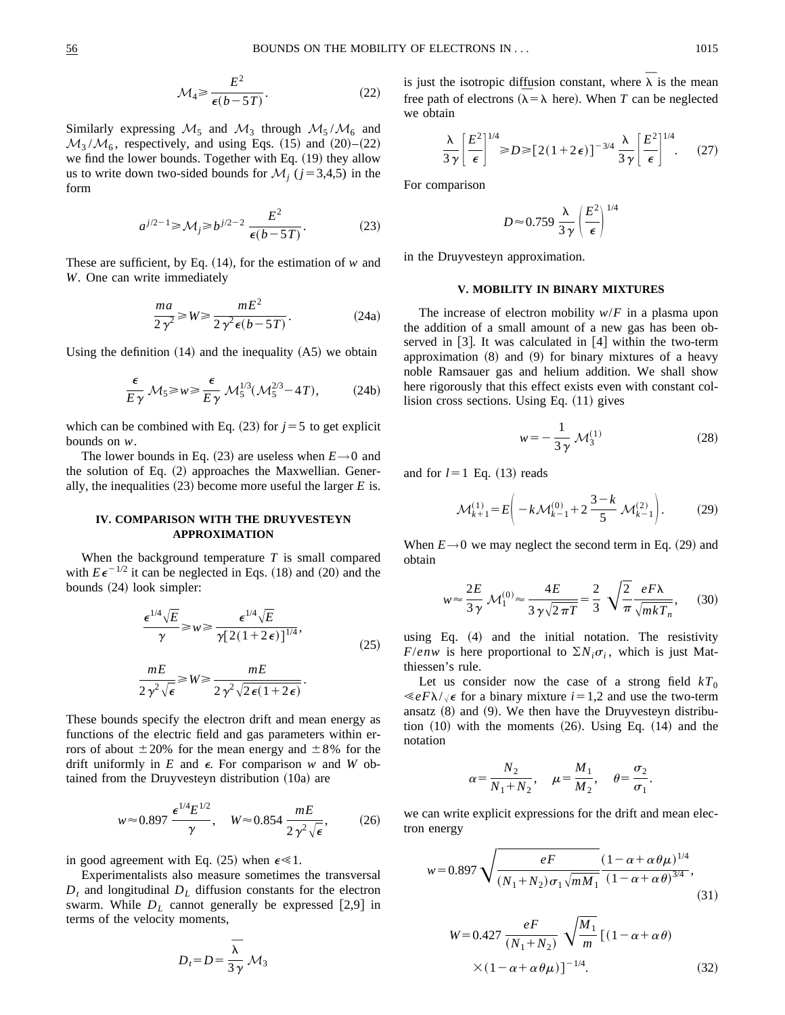$$
\mathcal{M}_4 \ge \frac{E^2}{\epsilon (b - 5T)}.\tag{22}
$$

Similarly expressing  $\mathcal{M}_5$  and  $\mathcal{M}_3$  through  $\mathcal{M}_5/\mathcal{M}_6$  and  $\mathcal{M}_3/\mathcal{M}_6$ , respectively, and using Eqs. (15) and (20)–(22) we find the lower bounds. Together with Eq.  $(19)$  they allow us to write down two-sided bounds for  $\mathcal{M}_i$  ( $j=3,4,5$ ) in the form

$$
a^{j/2-1} \geq \mathcal{M}_j \geq b^{j/2-2} \frac{E^2}{\epsilon(b-5T)}.\tag{23}
$$

These are sufficient, by Eq.  $(14)$ , for the estimation of *w* and *W*. One can write immediately

$$
\frac{ma}{2\gamma^2} \ge W \ge \frac{mE^2}{2\gamma^2 \epsilon (b - 5T)}.
$$
 (24a)

Using the definition  $(14)$  and the inequality  $(A5)$  we obtain

$$
\frac{\epsilon}{E\gamma} \mathcal{M}_5 \ge w \ge \frac{\epsilon}{E\gamma} \mathcal{M}_5^{1/3} (\mathcal{M}_5^{2/3} - 4T), \tag{24b}
$$

which can be combined with Eq.  $(23)$  for  $j=5$  to get explicit bounds on *w*.

The lower bounds in Eq.  $(23)$  are useless when  $E \rightarrow 0$  and the solution of Eq.  $(2)$  approaches the Maxwellian. Generally, the inequalities  $(23)$  become more useful the larger *E* is.

# **IV. COMPARISON WITH THE DRUYVESTEYN APPROXIMATION**

When the background temperature *T* is small compared with  $E\epsilon^{-1/2}$  it can be neglected in Eqs. (18) and (20) and the bounds  $(24)$  look simpler:

$$
\frac{\epsilon^{1/4}\sqrt{E}}{\gamma} \ge w \ge \frac{\epsilon^{1/4}\sqrt{E}}{\gamma[2(1+2\epsilon)]^{1/4}},\tag{25}
$$

$$
\frac{mE}{2\,\gamma^2\sqrt{\epsilon}} \geq W \geq \frac{mE}{2\,\gamma^2\sqrt{2\,\epsilon(1+2\,\epsilon)}}.
$$

These bounds specify the electron drift and mean energy as functions of the electric field and gas parameters within errors of about  $\pm 20\%$  for the mean energy and  $\pm 8\%$  for the drift uniformly in  $E$  and  $\epsilon$ . For comparison  $w$  and  $W$  obtained from the Druyvesteyn distribution  $(10a)$  are

$$
w \approx 0.897 \frac{\epsilon^{1/4} E^{1/2}}{\gamma}, \quad W \approx 0.854 \frac{mE}{2\gamma^2 \sqrt{\epsilon}}, \tag{26}
$$

in good agreement with Eq. (25) when  $\epsilon \ll 1$ .

Experimentalists also measure sometimes the transversal  $D_t$  and longitudinal  $D_L$  diffusion constants for the electron swarm. While  $D<sub>L</sub>$  cannot generally be expressed [2,9] in terms of the velocity moments,

$$
D_t = D = \frac{\overline{\lambda}}{3\gamma} \mathcal{M}_3
$$

is just the isotropic diffusion constant, where  $\overline{\lambda}$  is the mean is just the isotropic diffusion constant, where  $\lambda$  is the mean<br>free path of electrons  $(\overline{\lambda} = \lambda \text{ here})$ . When *T* can be neglected we obtain

$$
\frac{\lambda}{3\gamma} \left[ \frac{E^2}{\epsilon} \right]^{1/4} \ge D \ge \left[ 2(1+2\epsilon) \right]^{-3/4} \frac{\lambda}{3\gamma} \left[ \frac{E^2}{\epsilon} \right]^{1/4} . \tag{27}
$$

For comparison

$$
D\!\approx\!0.759\,\frac{\lambda}{3\,\gamma}\left(\frac{E^2}{\epsilon}\right)^{1/4}
$$

in the Druyvesteyn approximation.

### **V. MOBILITY IN BINARY MIXTURES**

The increase of electron mobility *w*/*F* in a plasma upon the addition of a small amount of a new gas has been observed in  $\lceil 3 \rceil$ . It was calculated in  $\lceil 4 \rceil$  within the two-term approximation  $(8)$  and  $(9)$  for binary mixtures of a heavy noble Ramsauer gas and helium addition. We shall show here rigorously that this effect exists even with constant collision cross sections. Using Eq.  $(11)$  gives

$$
w = -\frac{1}{3\gamma} \mathcal{M}_3^{(1)} \tag{28}
$$

and for  $l=1$  Eq.  $(13)$  reads

$$
\mathcal{M}_{k+1}^{(1)} = E\bigg(-k\mathcal{M}_{k-1}^{(0)} + 2\frac{3-k}{5}\mathcal{M}_{k-1}^{(2)}\bigg). \tag{29}
$$

When  $E \rightarrow 0$  we may neglect the second term in Eq. (29) and obtain

$$
w \approx \frac{2E}{3\gamma} \mathcal{M}_1^{(0)} \approx \frac{4E}{3\gamma\sqrt{2\pi T}} = \frac{2}{3} \sqrt{\frac{2}{\pi}} \frac{eF\lambda}{\sqrt{mkT_n}},\qquad(30)
$$

using Eq.  $(4)$  and the initial notation. The resistivity *F*/*enw* is here proportional to  $\sum N_i \sigma_i$ , which is just Matthiessen's rule.

Let us consider now the case of a strong field  $kT_0$  $\langle eF\lambda/\sqrt{\epsilon}$  for a binary mixture  $i=1,2$  and use the two-term ansatz  $(8)$  and  $(9)$ . We then have the Druyvesteyn distribution  $(10)$  with the moments  $(26)$ . Using Eq.  $(14)$  and the notation

$$
\alpha = \frac{N_2}{N_1 + N_2}, \quad \mu = \frac{M_1}{M_2}, \quad \theta = \frac{\sigma_2}{\sigma_1}.
$$

we can write explicit expressions for the drift and mean electron energy

$$
w = 0.897 \sqrt{\frac{eF}{(N_1 + N_2)\sigma_1 \sqrt{mM_1}}} \frac{(1 - \alpha + \alpha \theta \mu)^{1/4}}{(1 - \alpha + \alpha \theta)^{3/4}},
$$
\n(31)

$$
W = 0.427 \frac{eF}{(N_1 + N_2)} \sqrt{\frac{M_1}{m}} \left[ (1 - \alpha + \alpha \theta) \times (1 - \alpha + \alpha \theta \mu) \right]^{-1/4}.
$$
 (32)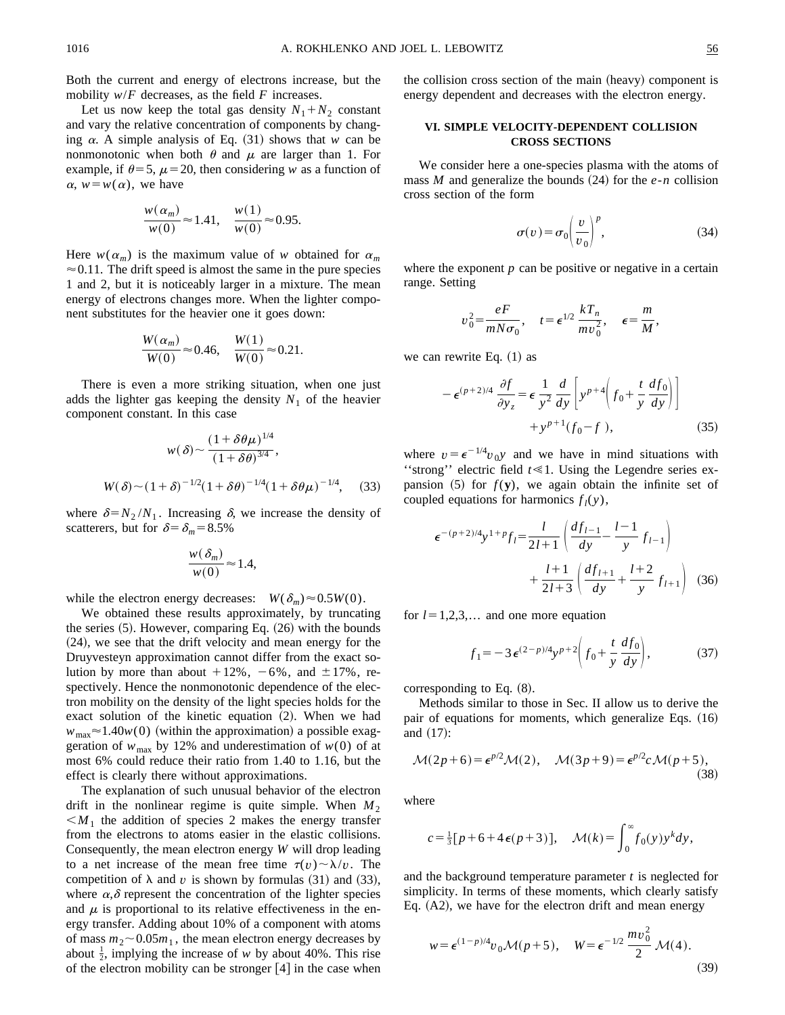Both the current and energy of electrons increase, but the mobility  $w/F$  decreases, as the field  $F$  increases.

Let us now keep the total gas density  $N_1 + N_2$  constant and vary the relative concentration of components by changing  $\alpha$ . A simple analysis of Eq. (31) shows that *w* can be nonmonotonic when both  $\theta$  and  $\mu$  are larger than 1. For example, if  $\theta$ =5,  $\mu$ =20, then considering *w* as a function of  $\alpha$ ,  $w = w(\alpha)$ , we have

$$
\frac{w(\alpha_m)}{w(0)} \approx 1.41, \quad \frac{w(1)}{w(0)} \approx 0.95.
$$

Here  $w(\alpha_m)$  is the maximum value of *w* obtained for  $\alpha_m$  $\approx 0.11$ . The drift speed is almost the same in the pure species 1 and 2, but it is noticeably larger in a mixture. The mean energy of electrons changes more. When the lighter component substitutes for the heavier one it goes down:

$$
\frac{W(\alpha_m)}{W(0)} \approx 0.46, \quad \frac{W(1)}{W(0)} \approx 0.21.
$$

There is even a more striking situation, when one just adds the lighter gas keeping the density  $N_1$  of the heavier component constant. In this case

$$
w(\delta) \sim \frac{(1+\delta\theta\mu)^{1/4}}{(1+\delta\theta)^{3/4}},
$$
  
 
$$
W(\delta) \sim (1+\delta)^{-1/2}(1+\delta\theta)^{-1/4}(1+\delta\theta\mu)^{-1/4}, \quad (33)
$$

where  $\delta = N_2 / N_1$ . Increasing  $\delta$ , we increase the density of scatterers, but for  $\delta = \delta_m = 8.5\%$ 

$$
\frac{w(\delta_m)}{w(0)} \approx 1.4,
$$

while the electron energy decreases:  $W(\delta_m) \approx 0.5W(0)$ .

We obtained these results approximately, by truncating the series  $(5)$ . However, comparing Eq.  $(26)$  with the bounds  $(24)$ , we see that the drift velocity and mean energy for the Druyvesteyn approximation cannot differ from the exact solution by more than about  $+12\%$ ,  $-6\%$ , and  $\pm 17\%$ , respectively. Hence the nonmonotonic dependence of the electron mobility on the density of the light species holds for the exact solution of the kinetic equation  $(2)$ . When we had  $w_{\text{max}} \approx 1.40w(0)$  (within the approximation) a possible exaggeration of  $w_{\text{max}}$  by 12% and underestimation of  $w(0)$  of at most 6% could reduce their ratio from 1.40 to 1.16, but the effect is clearly there without approximations.

The explanation of such unusual behavior of the electron drift in the nonlinear regime is quite simple. When  $M_2$  $\leq M_1$  the addition of species 2 makes the energy transfer from the electrons to atoms easier in the elastic collisions. Consequently, the mean electron energy *W* will drop leading to a net increase of the mean free time  $\tau(v) \sim \lambda/v$ . The competition of  $\lambda$  and *v* is shown by formulas (31) and (33), where  $\alpha$ ,  $\delta$  represent the concentration of the lighter species and  $\mu$  is proportional to its relative effectiveness in the energy transfer. Adding about 10% of a component with atoms of mass  $m_2 \sim 0.05m_1$ , the mean electron energy decreases by about  $\frac{1}{2}$ , implying the increase of *w* by about 40%. This rise of the electron mobility can be stronger  $[4]$  in the case when the collision cross section of the main (heavy) component is energy dependent and decreases with the electron energy.

# **VI. SIMPLE VELOCITY-DEPENDENT COLLISION CROSS SECTIONS**

We consider here a one-species plasma with the atoms of mass *M* and generalize the bounds  $(24)$  for the *e-n* collision cross section of the form

$$
\sigma(v) = \sigma_0 \left(\frac{v}{v_0}\right)^p, \tag{34}
$$

where the exponent  $p$  can be positive or negative in a certain range. Setting

$$
v_0^2 = \frac{eF}{mN\sigma_0}, \quad t = \epsilon^{1/2} \frac{kT_n}{mv_0^2}, \quad \epsilon = \frac{m}{M},
$$

we can rewrite Eq.  $(1)$  as

$$
-\epsilon^{(p+2)/4} \frac{\partial f}{\partial y_z} = \epsilon \frac{1}{y^2} \frac{d}{dy} \left[ y^{p+4} \left( f_0 + \frac{t}{y} \frac{df_0}{dy} \right) \right]
$$

$$
+ y^{p+1} (f_0 - f), \qquad (35)
$$

where  $v = \epsilon^{-1/4} v_0 y$  and we have in mind situations with "strong" electric field  $t \ll 1$ . Using the Legendre series expansion  $(5)$  for  $f(y)$ , we again obtain the infinite set of coupled equations for harmonics  $f_l(y)$ ,

$$
\epsilon^{-(p+2)/4} y^{1+p} f_l = \frac{l}{2l+1} \left( \frac{df_{l-1}}{dy} - \frac{l-1}{y} f_{l-1} \right) + \frac{l+1}{2l+3} \left( \frac{df_{l+1}}{dy} + \frac{l+2}{y} f_{l+1} \right)
$$
 (36)

for  $l=1,2,3,...$  and one more equation

$$
f_1 = -3\,\epsilon^{(2-p)/4}y^{p+2}\bigg(f_0 + \frac{t}{y}\,\frac{df_0}{dy}\bigg),\tag{37}
$$

corresponding to Eq.  $(8)$ .

Methods similar to those in Sec. II allow us to derive the pair of equations for moments, which generalize Eqs.  $(16)$ and  $(17)$ :

$$
\mathcal{M}(2p+6) = \epsilon^{p/2} \mathcal{M}(2), \quad \mathcal{M}(3p+9) = \epsilon^{p/2} c \mathcal{M}(p+5),
$$
\n(38)

where

$$
c = \frac{1}{3}[p+6+4\epsilon(p+3)], \quad \mathcal{M}(k) = \int_0^\infty f_0(y)y^k dy,
$$

and the background temperature parameter *t* is neglected for simplicity. In terms of these moments, which clearly satisfy Eq.  $(A2)$ , we have for the electron drift and mean energy

$$
w = \epsilon^{(1-p)/4} v_0 \mathcal{M}(p+5), \quad W = \epsilon^{-1/2} \frac{mv_0^2}{2} \mathcal{M}(4).
$$
 (39)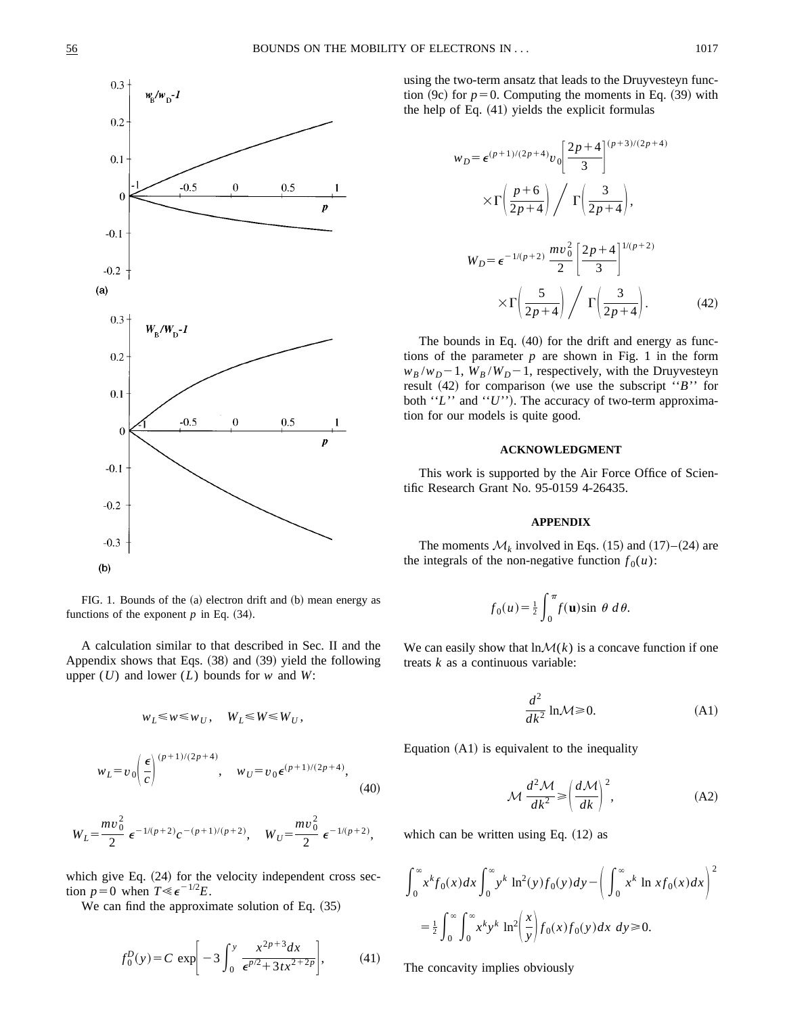

FIG. 1. Bounds of the (a) electron drift and (b) mean energy as functions of the exponent  $p$  in Eq.  $(34)$ .

A calculation similar to that described in Sec. II and the Appendix shows that Eqs.  $(38)$  and  $(39)$  yield the following upper (*U*) and lower (*L*) bounds for *w* and *W*:

$$
w_L{\leqslant} w{\leqslant} w_U\,,\quad W_L{\leqslant} W{\leqslant} W_U\,,
$$

$$
w_L = v_0 \left(\frac{\epsilon}{c}\right)^{(p+1)/(2p+4)}, \quad w_U = v_0 \epsilon^{(p+1)/(2p+4)}, \tag{40}
$$

$$
W_L = \frac{mv_0^2}{2} \epsilon^{-1/(p+2)} c^{-(p+1)/(p+2)}, \quad W_U = \frac{mv_0^2}{2} \epsilon^{-1/(p+2)},
$$

which give Eq.  $(24)$  for the velocity independent cross section  $p=0$  when  $T \ll \epsilon^{-1/2}E$ .

We can find the approximate solution of Eq.  $(35)$ 

$$
f_0^D(y) = C \exp\left[-3\int_0^y \frac{x^{2p+3}dx}{\epsilon^{p/2} + 3tx^{2+2p}}\right],
$$
 (41)

using the two-term ansatz that leads to the Druyvesteyn function  $(9c)$  for  $p=0$ . Computing the moments in Eq.  $(39)$  with the help of Eq.  $(41)$  yields the explicit formulas

$$
w_D = \epsilon^{(p+1)/(2p+4)} v_0 \left[ \frac{2p+4}{3} \right]^{(p+3)/(2p+4)}
$$

$$
\times \Gamma \left( \frac{p+6}{2p+4} \right) / \Gamma \left( \frac{3}{2p+4} \right),
$$

$$
W_D = \epsilon^{-1/(p+2)} \frac{m v_0^2}{2} \left[ \frac{2p+4}{3} \right]^{1/(p+2)}
$$

$$
\times \Gamma \left( \frac{5}{2p+4} \right) / \Gamma \left( \frac{3}{2p+4} \right). \tag{42}
$$

The bounds in Eq.  $(40)$  for the drift and energy as functions of the parameter  $p$  are shown in Fig. 1 in the form  $w_B/w_D-1$ ,  $W_B/W_D-1$ , respectively, with the Druyvesteyn result  $(42)$  for comparison (we use the subscript "*B*" for both "*L*" and "*U*"). The accuracy of two-term approximation for our models is quite good.

### **ACKNOWLEDGMENT**

This work is supported by the Air Force Office of Scientific Research Grant No. 95-0159 4-26435.

### **APPENDIX**

The moments  $\mathcal{M}_k$  involved in Eqs. (15) and (17)–(24) are the integrals of the non-negative function  $f_0(u)$ :

$$
f_0(u) = \frac{1}{2} \int_0^{\pi} f(u) \sin \theta \ d\theta.
$$

We can easily show that  $\ln M(k)$  is a concave function if one treats *k* as a continuous variable:

$$
\frac{d^2}{dk^2} \ln \mathcal{M} \ge 0. \tag{A1}
$$

Equation  $(A1)$  is equivalent to the inequality

$$
\mathcal{M}\frac{d^2\mathcal{M}}{dk^2} \ge \left(\frac{d\mathcal{M}}{dk}\right)^2,\tag{A2}
$$

which can be written using Eq.  $(12)$  as

$$
\int_0^{\infty} x^k f_0(x) dx \int_0^{\infty} y^k \ln^2(y) f_0(y) dy - \left( \int_0^{\infty} x^k \ln x f_0(x) dx \right)^2
$$
  
=  $\frac{1}{2} \int_0^{\infty} \int_0^{\infty} x^k y^k \ln^2 \left( \frac{x}{y} \right) f_0(x) f_0(y) dx dy \ge 0.$ 

The concavity implies obviously